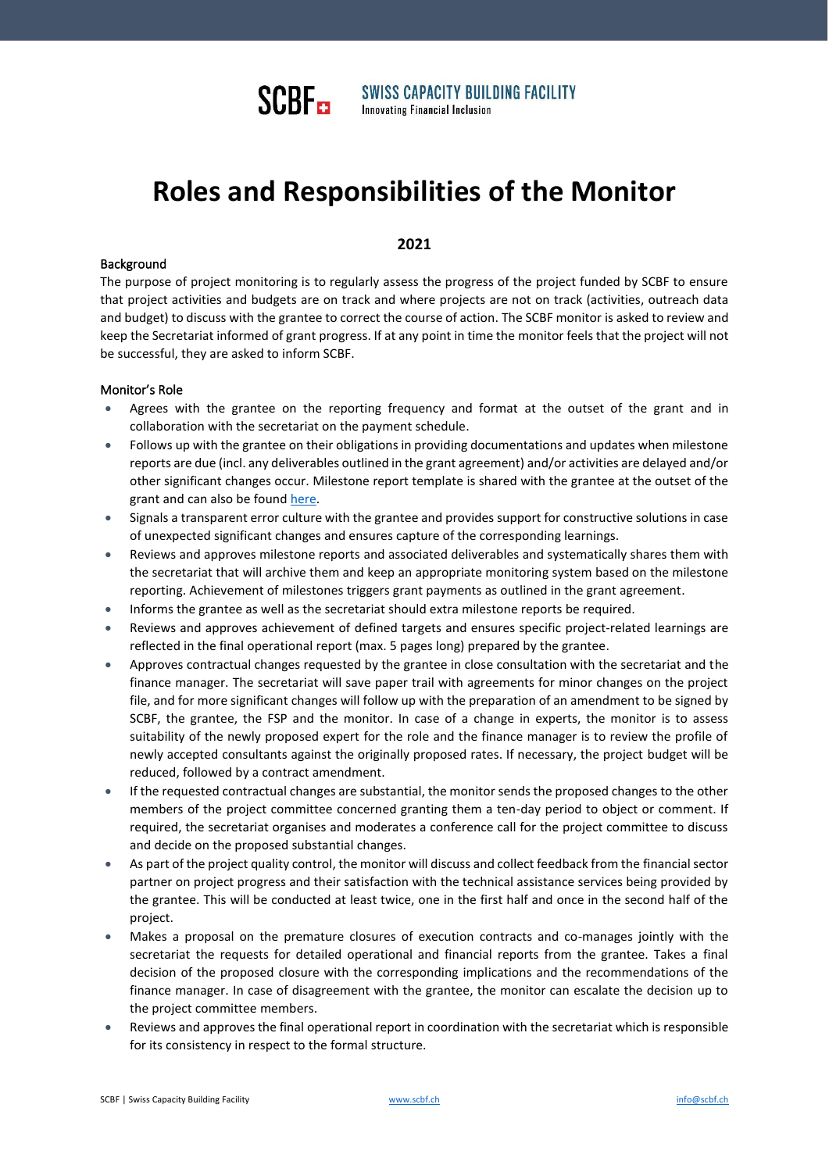

**SWISS CAPACITY BUILDING FACILITY Innovating Financial Inclusion** 

# **Roles and Responsibilities of the Monitor**

## **2021**

#### Background

The purpose of project monitoring is to regularly assess the progress of the project funded by SCBF to ensure that project activities and budgets are on track and where projects are not on track (activities, outreach data and budget) to discuss with the grantee to correct the course of action. The SCBF monitor is asked to review and keep the Secretariat informed of grant progress. If at any point in time the monitor feels that the project will not be successful, they are asked to inform SCBF.

#### Monitor's Role

- Agrees with the grantee on the reporting frequency and format at the outset of the grant and in collaboration with the secretariat on the payment schedule.
- Follows up with the grantee on their obligations in providing documentations and updates when milestone reports are due (incl. any deliverables outlined in the grant agreement) and/or activities are delayed and/or other significant changes occur. Milestone report template is shared with the grantee at the outset of the grant and can also be foun[d here.](https://scbf.ch/templates/)
- Signals a transparent error culture with the grantee and provides support for constructive solutions in case of unexpected significant changes and ensures capture of the corresponding learnings.
- Reviews and approves milestone reports and associated deliverables and systematically shares them with the secretariat that will archive them and keep an appropriate monitoring system based on the milestone reporting. Achievement of milestones triggers grant payments as outlined in the grant agreement.
- Informs the grantee as well as the secretariat should extra milestone reports be required.
- Reviews and approves achievement of defined targets and ensures specific project-related learnings are reflected in the final operational report (max. 5 pages long) prepared by the grantee.
- Approves contractual changes requested by the grantee in close consultation with the secretariat and the finance manager. The secretariat will save paper trail with agreements for minor changes on the project file, and for more significant changes will follow up with the preparation of an amendment to be signed by SCBF, the grantee, the FSP and the monitor. In case of a change in experts, the monitor is to assess suitability of the newly proposed expert for the role and the finance manager is to review the profile of newly accepted consultants against the originally proposed rates. If necessary, the project budget will be reduced, followed by a contract amendment.
- If the requested contractual changes are substantial, the monitor sends the proposed changes to the other members of the project committee concerned granting them a ten-day period to object or comment. If required, the secretariat organises and moderates a conference call for the project committee to discuss and decide on the proposed substantial changes.
- As part of the project quality control, the monitor will discuss and collect feedback from the financial sector partner on project progress and their satisfaction with the technical assistance services being provided by the grantee. This will be conducted at least twice, one in the first half and once in the second half of the project.
- Makes a proposal on the premature closures of execution contracts and co-manages jointly with the secretariat the requests for detailed operational and financial reports from the grantee. Takes a final decision of the proposed closure with the corresponding implications and the recommendations of the finance manager. In case of disagreement with the grantee, the monitor can escalate the decision up to the project committee members.
- Reviews and approves the final operational report in coordination with the secretariat which is responsible for its consistency in respect to the formal structure.